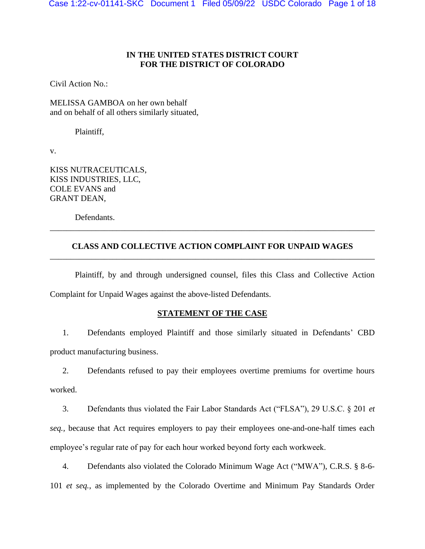# **IN THE UNITED STATES DISTRICT COURT FOR THE DISTRICT OF COLORADO**

Civil Action No.:

MELISSA GAMBOA on her own behalf and on behalf of all others similarly situated,

Plaintiff,

v.

KISS NUTRACEUTICALS, KISS INDUSTRIES, LLC, COLE EVANS and GRANT DEAN,

Defendants.

# **CLASS AND COLLECTIVE ACTION COMPLAINT FOR UNPAID WAGES** \_\_\_\_\_\_\_\_\_\_\_\_\_\_\_\_\_\_\_\_\_\_\_\_\_\_\_\_\_\_\_\_\_\_\_\_\_\_\_\_\_\_\_\_\_\_\_\_\_\_\_\_\_\_\_\_\_\_\_\_\_\_\_\_\_\_\_\_\_\_\_\_\_\_\_\_\_\_

\_\_\_\_\_\_\_\_\_\_\_\_\_\_\_\_\_\_\_\_\_\_\_\_\_\_\_\_\_\_\_\_\_\_\_\_\_\_\_\_\_\_\_\_\_\_\_\_\_\_\_\_\_\_\_\_\_\_\_\_\_\_\_\_\_\_\_\_\_\_\_\_\_\_\_\_\_\_

Plaintiff, by and through undersigned counsel, files this Class and Collective Action Complaint for Unpaid Wages against the above-listed Defendants.

## **STATEMENT OF THE CASE**

1. Defendants employed Plaintiff and those similarly situated in Defendants' CBD product manufacturing business.

2. Defendants refused to pay their employees overtime premiums for overtime hours worked.

3. Defendants thus violated the Fair Labor Standards Act ("FLSA"), 29 U.S.C. § 201 *et seq.,* because that Act requires employers to pay their employees one-and-one-half times each employee's regular rate of pay for each hour worked beyond forty each workweek.

4. Defendants also violated the Colorado Minimum Wage Act ("MWA"), C.R.S. § 8-6- 101 *et seq.*, as implemented by the Colorado Overtime and Minimum Pay Standards Order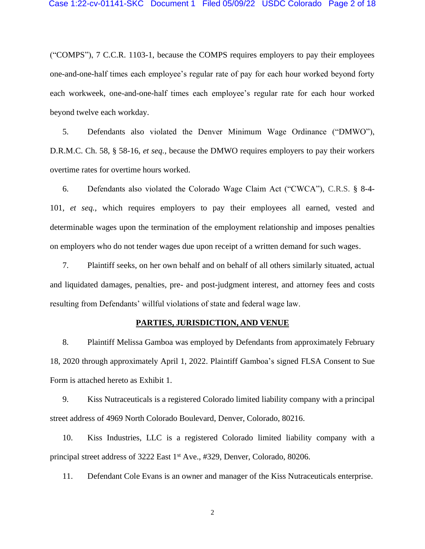("COMPS"), 7 C.C.R. 1103-1, because the COMPS requires employers to pay their employees one-and-one-half times each employee's regular rate of pay for each hour worked beyond forty each workweek, one-and-one-half times each employee's regular rate for each hour worked beyond twelve each workday.

5. Defendants also violated the Denver Minimum Wage Ordinance ("DMWO"), D.R.M.C. Ch. 58, § 58-16, *et seq.*, because the DMWO requires employers to pay their workers overtime rates for overtime hours worked.

6. Defendants also violated the Colorado Wage Claim Act ("CWCA"), C.R.S. § 8-4- 101, *et seq.*, which requires employers to pay their employees all earned, vested and determinable wages upon the termination of the employment relationship and imposes penalties on employers who do not tender wages due upon receipt of a written demand for such wages.

7. Plaintiff seeks, on her own behalf and on behalf of all others similarly situated, actual and liquidated damages, penalties, pre- and post-judgment interest, and attorney fees and costs resulting from Defendants' willful violations of state and federal wage law.

#### **PARTIES, JURISDICTION, AND VENUE**

8. Plaintiff Melissa Gamboa was employed by Defendants from approximately February 18, 2020 through approximately April 1, 2022. Plaintiff Gamboa's signed FLSA Consent to Sue Form is attached hereto as Exhibit 1.

9. Kiss Nutraceuticals is a registered Colorado limited liability company with a principal street address of 4969 North Colorado Boulevard, Denver, Colorado, 80216.

10. Kiss Industries, LLC is a registered Colorado limited liability company with a principal street address of 3222 East 1<sup>st</sup> Ave., #329, Denver, Colorado, 80206.

11. Defendant Cole Evans is an owner and manager of the Kiss Nutraceuticals enterprise.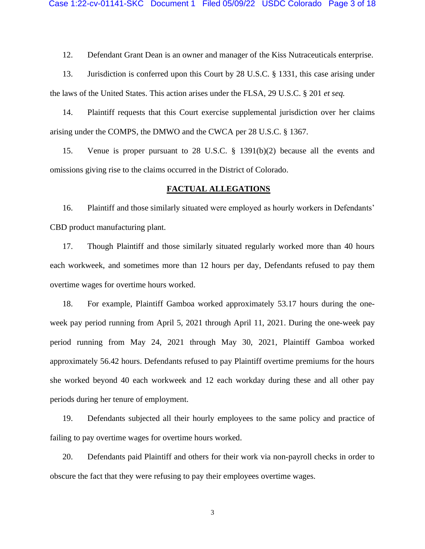12. Defendant Grant Dean is an owner and manager of the Kiss Nutraceuticals enterprise.

13. Jurisdiction is conferred upon this Court by 28 U.S.C. § 1331, this case arising under the laws of the United States. This action arises under the FLSA, 29 U.S.C. § 201 *et seq.*

14. Plaintiff requests that this Court exercise supplemental jurisdiction over her claims arising under the COMPS, the DMWO and the CWCA per 28 U.S.C. § 1367.

15. Venue is proper pursuant to 28 U.S.C. § 1391(b)(2) because all the events and omissions giving rise to the claims occurred in the District of Colorado.

#### **FACTUAL ALLEGATIONS**

16. Plaintiff and those similarly situated were employed as hourly workers in Defendants' CBD product manufacturing plant.

17. Though Plaintiff and those similarly situated regularly worked more than 40 hours each workweek, and sometimes more than 12 hours per day, Defendants refused to pay them overtime wages for overtime hours worked.

18. For example, Plaintiff Gamboa worked approximately 53.17 hours during the oneweek pay period running from April 5, 2021 through April 11, 2021. During the one-week pay period running from May 24, 2021 through May 30, 2021, Plaintiff Gamboa worked approximately 56.42 hours. Defendants refused to pay Plaintiff overtime premiums for the hours she worked beyond 40 each workweek and 12 each workday during these and all other pay periods during her tenure of employment.

19. Defendants subjected all their hourly employees to the same policy and practice of failing to pay overtime wages for overtime hours worked.

20. Defendants paid Plaintiff and others for their work via non-payroll checks in order to obscure the fact that they were refusing to pay their employees overtime wages.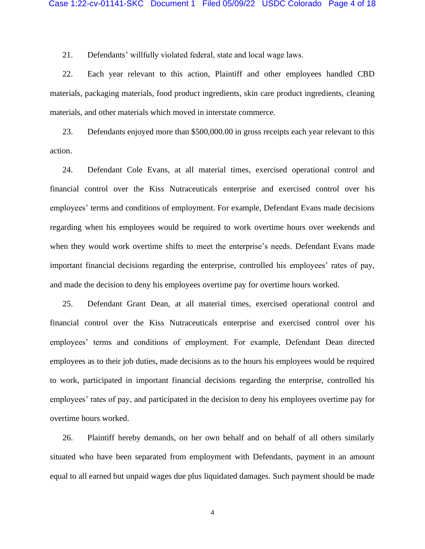21. Defendants' willfully violated federal, state and local wage laws.

22. Each year relevant to this action, Plaintiff and other employees handled CBD materials, packaging materials, food product ingredients, skin care product ingredients, cleaning materials, and other materials which moved in interstate commerce.

23. Defendants enjoyed more than \$500,000.00 in gross receipts each year relevant to this action.

24. Defendant Cole Evans, at all material times, exercised operational control and financial control over the Kiss Nutraceuticals enterprise and exercised control over his employees' terms and conditions of employment. For example, Defendant Evans made decisions regarding when his employees would be required to work overtime hours over weekends and when they would work overtime shifts to meet the enterprise's needs. Defendant Evans made important financial decisions regarding the enterprise, controlled his employees' rates of pay, and made the decision to deny his employees overtime pay for overtime hours worked.

25. Defendant Grant Dean, at all material times, exercised operational control and financial control over the Kiss Nutraceuticals enterprise and exercised control over his employees' terms and conditions of employment. For example, Defendant Dean directed employees as to their job duties, made decisions as to the hours his employees would be required to work, participated in important financial decisions regarding the enterprise, controlled his employees' rates of pay, and participated in the decision to deny his employees overtime pay for overtime hours worked.

26. Plaintiff hereby demands, on her own behalf and on behalf of all others similarly situated who have been separated from employment with Defendants, payment in an amount equal to all earned but unpaid wages due plus liquidated damages. Such payment should be made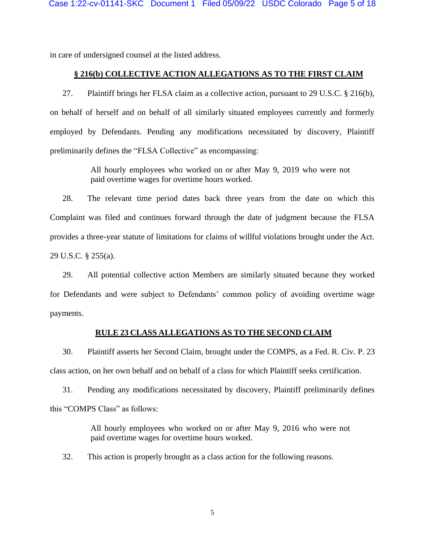in care of undersigned counsel at the listed address.

## **§ 216(b) COLLECTIVE ACTION ALLEGATIONS AS TO THE FIRST CLAIM**

27. Plaintiff brings her FLSA claim as a collective action, pursuant to 29 U.S.C. § 216(b), on behalf of herself and on behalf of all similarly situated employees currently and formerly employed by Defendants. Pending any modifications necessitated by discovery, Plaintiff preliminarily defines the "FLSA Collective" as encompassing:

> All hourly employees who worked on or after May 9, 2019 who were not paid overtime wages for overtime hours worked.

28. The relevant time period dates back three years from the date on which this Complaint was filed and continues forward through the date of judgment because the FLSA provides a three-year statute of limitations for claims of willful violations brought under the Act. 29 U.S.C. § 255(a).

29. All potential collective action Members are similarly situated because they worked for Defendants and were subject to Defendants' common policy of avoiding overtime wage payments.

## **RULE 23 CLASS ALLEGATIONS AS TO THE SECOND CLAIM**

30. Plaintiff asserts her Second Claim, brought under the COMPS, as a Fed. R. Civ. P. 23 class action, on her own behalf and on behalf of a class for which Plaintiff seeks certification.

31. Pending any modifications necessitated by discovery, Plaintiff preliminarily defines this "COMPS Class" as follows:

> All hourly employees who worked on or after May 9, 2016 who were not paid overtime wages for overtime hours worked.

32. This action is properly brought as a class action for the following reasons.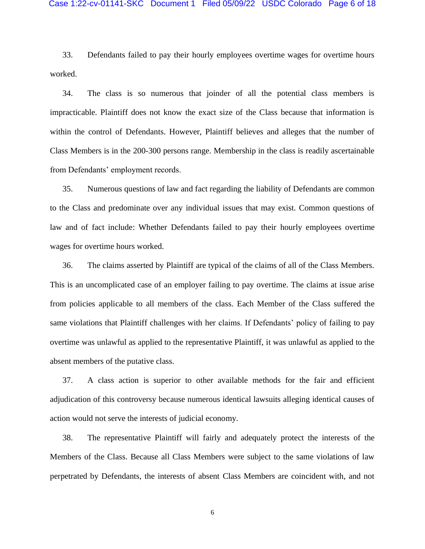33. Defendants failed to pay their hourly employees overtime wages for overtime hours worked.

34. The class is so numerous that joinder of all the potential class members is impracticable. Plaintiff does not know the exact size of the Class because that information is within the control of Defendants. However, Plaintiff believes and alleges that the number of Class Members is in the 200-300 persons range. Membership in the class is readily ascertainable from Defendants' employment records.

35. Numerous questions of law and fact regarding the liability of Defendants are common to the Class and predominate over any individual issues that may exist. Common questions of law and of fact include: Whether Defendants failed to pay their hourly employees overtime wages for overtime hours worked.

36. The claims asserted by Plaintiff are typical of the claims of all of the Class Members. This is an uncomplicated case of an employer failing to pay overtime. The claims at issue arise from policies applicable to all members of the class. Each Member of the Class suffered the same violations that Plaintiff challenges with her claims. If Defendants' policy of failing to pay overtime was unlawful as applied to the representative Plaintiff, it was unlawful as applied to the absent members of the putative class.

37. A class action is superior to other available methods for the fair and efficient adjudication of this controversy because numerous identical lawsuits alleging identical causes of action would not serve the interests of judicial economy.

38. The representative Plaintiff will fairly and adequately protect the interests of the Members of the Class. Because all Class Members were subject to the same violations of law perpetrated by Defendants, the interests of absent Class Members are coincident with, and not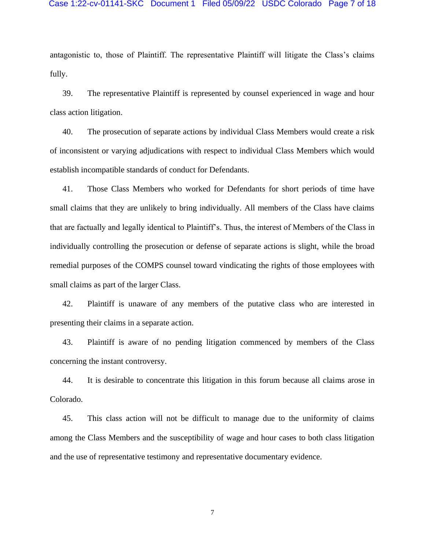#### Case 1:22-cv-01141-SKC Document 1 Filed 05/09/22 USDC Colorado Page 7 of 18

antagonistic to, those of Plaintiff. The representative Plaintiff will litigate the Class's claims fully.

39. The representative Plaintiff is represented by counsel experienced in wage and hour class action litigation.

40. The prosecution of separate actions by individual Class Members would create a risk of inconsistent or varying adjudications with respect to individual Class Members which would establish incompatible standards of conduct for Defendants.

41. Those Class Members who worked for Defendants for short periods of time have small claims that they are unlikely to bring individually. All members of the Class have claims that are factually and legally identical to Plaintiff's. Thus, the interest of Members of the Class in individually controlling the prosecution or defense of separate actions is slight, while the broad remedial purposes of the COMPS counsel toward vindicating the rights of those employees with small claims as part of the larger Class.

42. Plaintiff is unaware of any members of the putative class who are interested in presenting their claims in a separate action.

43. Plaintiff is aware of no pending litigation commenced by members of the Class concerning the instant controversy.

44. It is desirable to concentrate this litigation in this forum because all claims arose in Colorado.

45. This class action will not be difficult to manage due to the uniformity of claims among the Class Members and the susceptibility of wage and hour cases to both class litigation and the use of representative testimony and representative documentary evidence.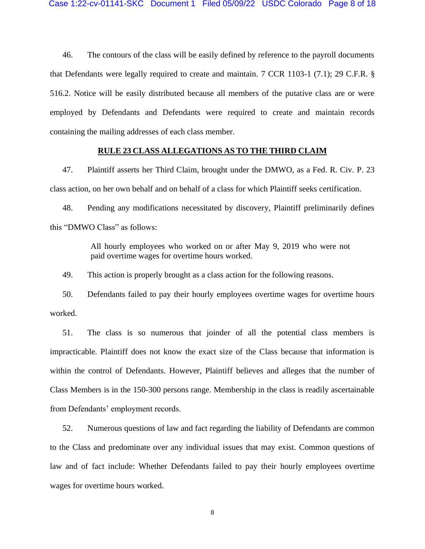46. The contours of the class will be easily defined by reference to the payroll documents that Defendants were legally required to create and maintain. 7 CCR 1103-1 (7.1); 29 C.F.R. § 516.2. Notice will be easily distributed because all members of the putative class are or were employed by Defendants and Defendants were required to create and maintain records containing the mailing addresses of each class member.

### **RULE 23 CLASS ALLEGATIONS AS TO THE THIRD CLAIM**

47. Plaintiff asserts her Third Claim, brought under the DMWO, as a Fed. R. Civ. P. 23 class action, on her own behalf and on behalf of a class for which Plaintiff seeks certification.

48. Pending any modifications necessitated by discovery, Plaintiff preliminarily defines this "DMWO Class" as follows:

> All hourly employees who worked on or after May 9, 2019 who were not paid overtime wages for overtime hours worked.

49. This action is properly brought as a class action for the following reasons.

50. Defendants failed to pay their hourly employees overtime wages for overtime hours worked.

51. The class is so numerous that joinder of all the potential class members is impracticable. Plaintiff does not know the exact size of the Class because that information is within the control of Defendants. However, Plaintiff believes and alleges that the number of Class Members is in the 150-300 persons range. Membership in the class is readily ascertainable from Defendants' employment records.

52. Numerous questions of law and fact regarding the liability of Defendants are common to the Class and predominate over any individual issues that may exist. Common questions of law and of fact include: Whether Defendants failed to pay their hourly employees overtime wages for overtime hours worked.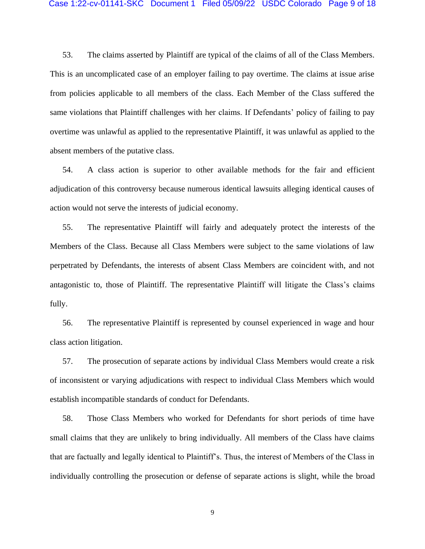53. The claims asserted by Plaintiff are typical of the claims of all of the Class Members. This is an uncomplicated case of an employer failing to pay overtime. The claims at issue arise from policies applicable to all members of the class. Each Member of the Class suffered the same violations that Plaintiff challenges with her claims. If Defendants' policy of failing to pay overtime was unlawful as applied to the representative Plaintiff, it was unlawful as applied to the absent members of the putative class.

54. A class action is superior to other available methods for the fair and efficient adjudication of this controversy because numerous identical lawsuits alleging identical causes of action would not serve the interests of judicial economy.

55. The representative Plaintiff will fairly and adequately protect the interests of the Members of the Class. Because all Class Members were subject to the same violations of law perpetrated by Defendants, the interests of absent Class Members are coincident with, and not antagonistic to, those of Plaintiff. The representative Plaintiff will litigate the Class's claims fully.

56. The representative Plaintiff is represented by counsel experienced in wage and hour class action litigation.

57. The prosecution of separate actions by individual Class Members would create a risk of inconsistent or varying adjudications with respect to individual Class Members which would establish incompatible standards of conduct for Defendants.

58. Those Class Members who worked for Defendants for short periods of time have small claims that they are unlikely to bring individually. All members of the Class have claims that are factually and legally identical to Plaintiff's. Thus, the interest of Members of the Class in individually controlling the prosecution or defense of separate actions is slight, while the broad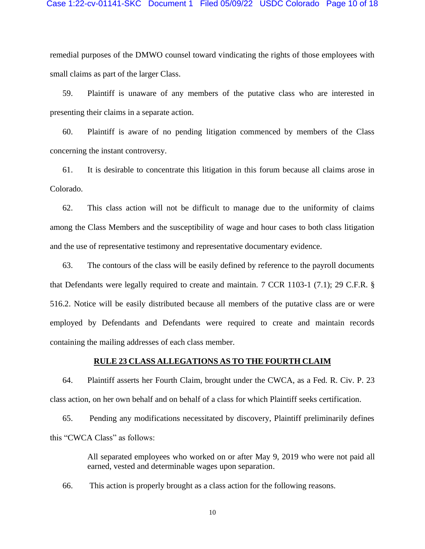remedial purposes of the DMWO counsel toward vindicating the rights of those employees with small claims as part of the larger Class.

59. Plaintiff is unaware of any members of the putative class who are interested in presenting their claims in a separate action.

60. Plaintiff is aware of no pending litigation commenced by members of the Class concerning the instant controversy.

61. It is desirable to concentrate this litigation in this forum because all claims arose in Colorado.

62. This class action will not be difficult to manage due to the uniformity of claims among the Class Members and the susceptibility of wage and hour cases to both class litigation and the use of representative testimony and representative documentary evidence.

63. The contours of the class will be easily defined by reference to the payroll documents that Defendants were legally required to create and maintain. 7 CCR 1103-1 (7.1); 29 C.F.R. § 516.2. Notice will be easily distributed because all members of the putative class are or were employed by Defendants and Defendants were required to create and maintain records containing the mailing addresses of each class member.

### **RULE 23 CLASS ALLEGATIONS AS TO THE FOURTH CLAIM**

64. Plaintiff asserts her Fourth Claim, brought under the CWCA, as a Fed. R. Civ. P. 23 class action, on her own behalf and on behalf of a class for which Plaintiff seeks certification.

65. Pending any modifications necessitated by discovery, Plaintiff preliminarily defines this "CWCA Class" as follows:

> All separated employees who worked on or after May 9, 2019 who were not paid all earned, vested and determinable wages upon separation.

66. This action is properly brought as a class action for the following reasons.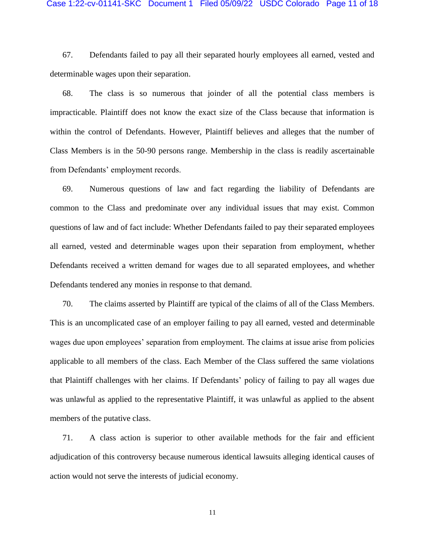67. Defendants failed to pay all their separated hourly employees all earned, vested and determinable wages upon their separation.

68. The class is so numerous that joinder of all the potential class members is impracticable. Plaintiff does not know the exact size of the Class because that information is within the control of Defendants. However, Plaintiff believes and alleges that the number of Class Members is in the 50-90 persons range. Membership in the class is readily ascertainable from Defendants' employment records.

69. Numerous questions of law and fact regarding the liability of Defendants are common to the Class and predominate over any individual issues that may exist. Common questions of law and of fact include: Whether Defendants failed to pay their separated employees all earned, vested and determinable wages upon their separation from employment, whether Defendants received a written demand for wages due to all separated employees, and whether Defendants tendered any monies in response to that demand.

70. The claims asserted by Plaintiff are typical of the claims of all of the Class Members. This is an uncomplicated case of an employer failing to pay all earned, vested and determinable wages due upon employees' separation from employment. The claims at issue arise from policies applicable to all members of the class. Each Member of the Class suffered the same violations that Plaintiff challenges with her claims. If Defendants' policy of failing to pay all wages due was unlawful as applied to the representative Plaintiff, it was unlawful as applied to the absent members of the putative class.

71. A class action is superior to other available methods for the fair and efficient adjudication of this controversy because numerous identical lawsuits alleging identical causes of action would not serve the interests of judicial economy.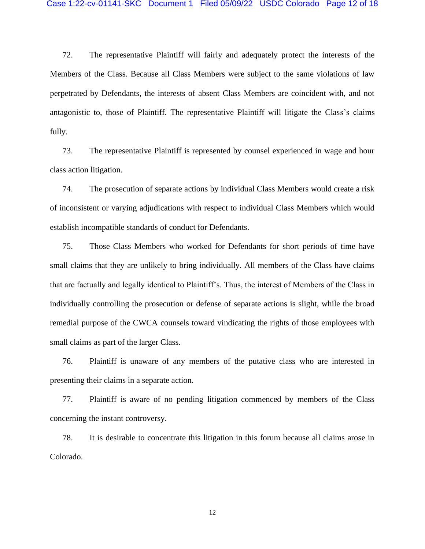72. The representative Plaintiff will fairly and adequately protect the interests of the Members of the Class. Because all Class Members were subject to the same violations of law perpetrated by Defendants, the interests of absent Class Members are coincident with, and not antagonistic to, those of Plaintiff. The representative Plaintiff will litigate the Class's claims fully.

73. The representative Plaintiff is represented by counsel experienced in wage and hour class action litigation.

74. The prosecution of separate actions by individual Class Members would create a risk of inconsistent or varying adjudications with respect to individual Class Members which would establish incompatible standards of conduct for Defendants.

75. Those Class Members who worked for Defendants for short periods of time have small claims that they are unlikely to bring individually. All members of the Class have claims that are factually and legally identical to Plaintiff's. Thus, the interest of Members of the Class in individually controlling the prosecution or defense of separate actions is slight, while the broad remedial purpose of the CWCA counsels toward vindicating the rights of those employees with small claims as part of the larger Class.

76. Plaintiff is unaware of any members of the putative class who are interested in presenting their claims in a separate action.

77. Plaintiff is aware of no pending litigation commenced by members of the Class concerning the instant controversy.

78. It is desirable to concentrate this litigation in this forum because all claims arose in Colorado.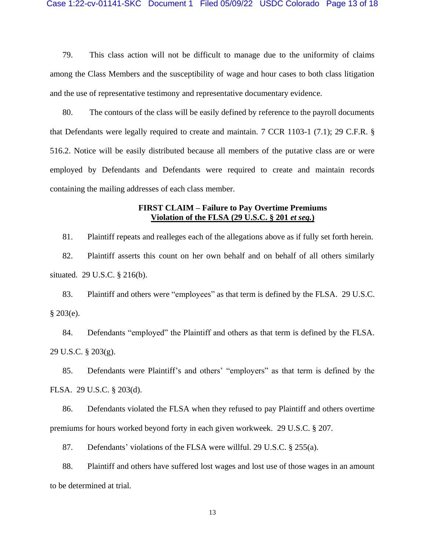79. This class action will not be difficult to manage due to the uniformity of claims among the Class Members and the susceptibility of wage and hour cases to both class litigation and the use of representative testimony and representative documentary evidence.

80. The contours of the class will be easily defined by reference to the payroll documents that Defendants were legally required to create and maintain. 7 CCR 1103-1 (7.1); 29 C.F.R. § 516.2. Notice will be easily distributed because all members of the putative class are or were employed by Defendants and Defendants were required to create and maintain records containing the mailing addresses of each class member.

# **FIRST CLAIM – Failure to Pay Overtime Premiums Violation of the FLSA (29 U.S.C. § 201** *et seq.***)**

81. Plaintiff repeats and realleges each of the allegations above as if fully set forth herein. 82. Plaintiff asserts this count on her own behalf and on behalf of all others similarly situated. 29 U.S.C. § 216(b).

83. Plaintiff and others were "employees" as that term is defined by the FLSA. 29 U.S.C. § 203(e).

84. Defendants "employed" the Plaintiff and others as that term is defined by the FLSA. 29 U.S.C. § 203(g).

85. Defendants were Plaintiff's and others' "employers" as that term is defined by the FLSA. 29 U.S.C. § 203(d).

86. Defendants violated the FLSA when they refused to pay Plaintiff and others overtime premiums for hours worked beyond forty in each given workweek. 29 U.S.C. § 207.

87. Defendants' violations of the FLSA were willful. 29 U.S.C. § 255(a).

88. Plaintiff and others have suffered lost wages and lost use of those wages in an amount to be determined at trial.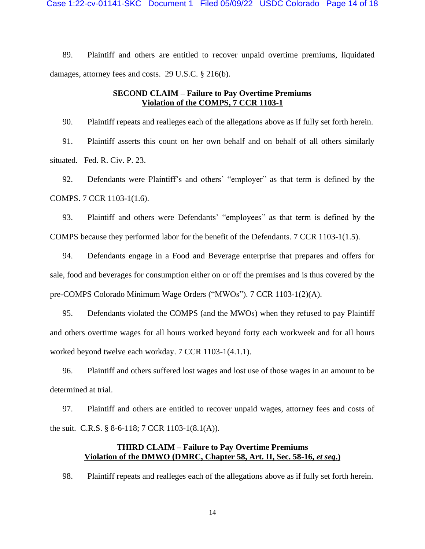89. Plaintiff and others are entitled to recover unpaid overtime premiums, liquidated damages, attorney fees and costs. 29 U.S.C. § 216(b).

# **SECOND CLAIM – Failure to Pay Overtime Premiums Violation of the COMPS, 7 CCR 1103-1**

90. Plaintiff repeats and realleges each of the allegations above as if fully set forth herein. 91. Plaintiff asserts this count on her own behalf and on behalf of all others similarly situated. Fed. R. Civ. P. 23.

92. Defendants were Plaintiff's and others' "employer" as that term is defined by the COMPS. 7 CCR 1103-1(1.6).

93. Plaintiff and others were Defendants' "employees" as that term is defined by the COMPS because they performed labor for the benefit of the Defendants. 7 CCR 1103-1(1.5).

94. Defendants engage in a Food and Beverage enterprise that prepares and offers for sale, food and beverages for consumption either on or off the premises and is thus covered by the pre-COMPS Colorado Minimum Wage Orders ("MWOs"). 7 CCR 1103-1(2)(A).

95. Defendants violated the COMPS (and the MWOs) when they refused to pay Plaintiff and others overtime wages for all hours worked beyond forty each workweek and for all hours worked beyond twelve each workday. 7 CCR 1103-1(4.1.1).

96. Plaintiff and others suffered lost wages and lost use of those wages in an amount to be determined at trial.

97. Plaintiff and others are entitled to recover unpaid wages, attorney fees and costs of the suit. C.R.S. § 8-6-118; 7 CCR 1103-1(8.1(A)).

# **THIRD CLAIM – Failure to Pay Overtime Premiums Violation of the DMWO (DMRC, Chapter 58, Art. II, Sec. 58-16,** *et seq***.)**

98. Plaintiff repeats and realleges each of the allegations above as if fully set forth herein.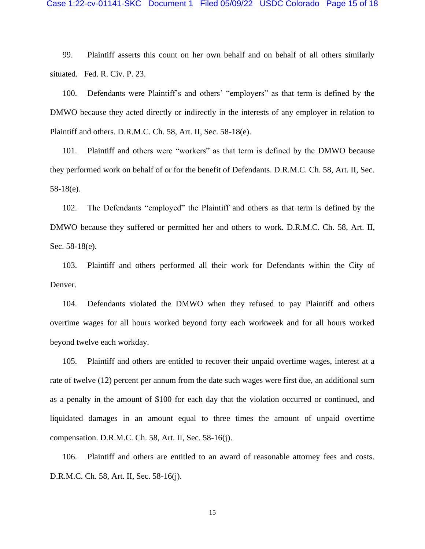99. Plaintiff asserts this count on her own behalf and on behalf of all others similarly situated. Fed. R. Civ. P. 23.

100. Defendants were Plaintiff's and others' "employers" as that term is defined by the DMWO because they acted directly or indirectly in the interests of any employer in relation to Plaintiff and others. D.R.M.C. Ch. 58, Art. II, Sec. 58-18(e).

101. Plaintiff and others were "workers" as that term is defined by the DMWO because they performed work on behalf of or for the benefit of Defendants. D.R.M.C. Ch. 58, Art. II, Sec. 58-18(e).

102. The Defendants "employed" the Plaintiff and others as that term is defined by the DMWO because they suffered or permitted her and others to work. D.R.M.C. Ch. 58, Art. II, Sec. 58-18(e).

103. Plaintiff and others performed all their work for Defendants within the City of Denver.

104. Defendants violated the DMWO when they refused to pay Plaintiff and others overtime wages for all hours worked beyond forty each workweek and for all hours worked beyond twelve each workday.

105. Plaintiff and others are entitled to recover their unpaid overtime wages, interest at a rate of twelve (12) percent per annum from the date such wages were first due, an additional sum as a penalty in the amount of \$100 for each day that the violation occurred or continued, and liquidated damages in an amount equal to three times the amount of unpaid overtime compensation. D.R.M.C. Ch. 58, Art. II, Sec. 58-16(j).

106. Plaintiff and others are entitled to an award of reasonable attorney fees and costs. D.R.M.C. Ch. 58, Art. II, Sec. 58-16(j).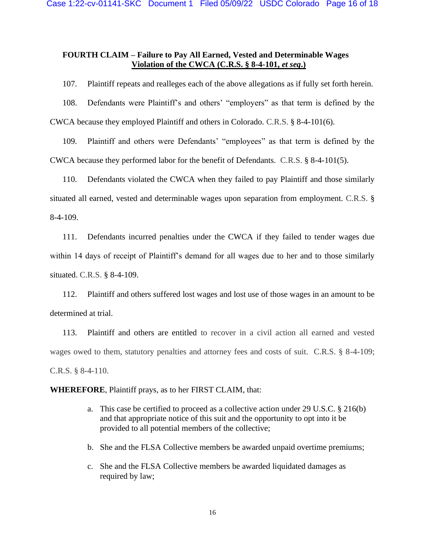# **FOURTH CLAIM – Failure to Pay All Earned, Vested and Determinable Wages Violation of the CWCA (C.R.S. § 8-4-101,** *et seq***.)**

107. Plaintiff repeats and realleges each of the above allegations as if fully set forth herein.

108. Defendants were Plaintiff's and others' "employers" as that term is defined by the CWCA because they employed Plaintiff and others in Colorado. C.R.S. § 8-4-101(6).

109. Plaintiff and others were Defendants' "employees" as that term is defined by the CWCA because they performed labor for the benefit of Defendants. C.R.S. § 8-4-101(5).

110. Defendants violated the CWCA when they failed to pay Plaintiff and those similarly situated all earned, vested and determinable wages upon separation from employment. C.R.S. § 8-4-109.

111. Defendants incurred penalties under the CWCA if they failed to tender wages due within 14 days of receipt of Plaintiff's demand for all wages due to her and to those similarly situated. C.R.S. § 8-4-109.

112. Plaintiff and others suffered lost wages and lost use of those wages in an amount to be determined at trial.

113. Plaintiff and others are entitled to recover in a civil action all earned and vested wages owed to them, statutory penalties and attorney fees and costs of suit. C.R.S. § 8-4-109; C.R.S. § 8-4-110.

**WHEREFORE**, Plaintiff prays, as to her FIRST CLAIM, that:

- a. This case be certified to proceed as a collective action under 29 U.S.C. § 216(b) and that appropriate notice of this suit and the opportunity to opt into it be provided to all potential members of the collective;
- b. She and the FLSA Collective members be awarded unpaid overtime premiums;
- c. She and the FLSA Collective members be awarded liquidated damages as required by law;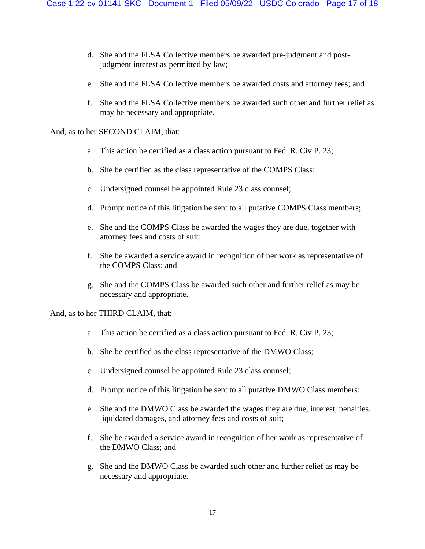- d. She and the FLSA Collective members be awarded pre-judgment and postjudgment interest as permitted by law;
- e. She and the FLSA Collective members be awarded costs and attorney fees; and
- f. She and the FLSA Collective members be awarded such other and further relief as may be necessary and appropriate.

And, as to her SECOND CLAIM, that:

- a. This action be certified as a class action pursuant to Fed. R. Civ.P. 23;
- b. She be certified as the class representative of the COMPS Class;
- c. Undersigned counsel be appointed Rule 23 class counsel;
- d. Prompt notice of this litigation be sent to all putative COMPS Class members;
- e. She and the COMPS Class be awarded the wages they are due, together with attorney fees and costs of suit;
- f. She be awarded a service award in recognition of her work as representative of the COMPS Class; and
- g. She and the COMPS Class be awarded such other and further relief as may be necessary and appropriate.

And, as to her THIRD CLAIM, that:

- a. This action be certified as a class action pursuant to Fed. R. Civ.P. 23;
- b. She be certified as the class representative of the DMWO Class;
- c. Undersigned counsel be appointed Rule 23 class counsel;
- d. Prompt notice of this litigation be sent to all putative DMWO Class members;
- e. She and the DMWO Class be awarded the wages they are due, interest, penalties, liquidated damages, and attorney fees and costs of suit;
- f. She be awarded a service award in recognition of her work as representative of the DMWO Class; and
- g. She and the DMWO Class be awarded such other and further relief as may be necessary and appropriate.